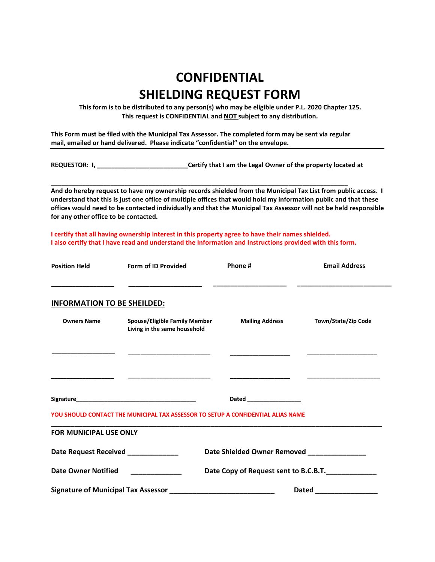## **CONFIDENTIAL SHIELDING REQUEST FORM**

**This form is to be distributed to any person(s) who may be eligible under P.L. 2020 Chapter 125. This request is CONFIDENTIAL and NOT subject to any distribution.** 

**This Form must be filed with the Municipal Tax Assessor. The completed form may be sent via regular mail, emailed or hand delivered. Please indicate "confidential" on the envelope.**

**\_\_\_\_\_\_\_\_\_\_\_\_\_\_\_\_\_\_\_\_\_\_\_\_\_\_\_\_\_\_\_\_\_\_\_\_\_\_\_\_\_\_\_\_\_\_\_\_\_\_\_\_\_\_\_\_\_\_\_\_\_\_\_\_\_\_\_\_\_\_\_\_\_\_\_\_\_\_\_\_\_\_\_\_\_** 

**REQUESTOR: I, \_\_\_\_\_\_\_\_\_\_\_\_\_\_\_\_\_\_\_\_\_\_\_\_\_\_Certify that I am the Legal Owner of the property located at** 

**And do hereby request to have my ownership records shielded from the Municipal Tax List from public access. I understand that this is just one office of multiple offices that would hold my information public and that these offices would need to be contacted individually and that the Municipal Tax Assessor will not be held responsible for any other office to be contacted.** 

**I certify that all having ownership interest in this property agree to have their names shielded. I also certify that I have read and understand the Information and Instructions provided with this form.** 

| <b>Position Held</b>               | Form of ID Provided                                                              | Phone #                               | <b>Email Address</b>                       |  |
|------------------------------------|----------------------------------------------------------------------------------|---------------------------------------|--------------------------------------------|--|
|                                    |                                                                                  |                                       |                                            |  |
| <b>INFORMATION TO BE SHEILDED:</b> |                                                                                  |                                       |                                            |  |
| <b>Owners Name</b>                 | <b>Spouse/Eligible Family Member</b><br>Living in the same household             | <b>Mailing Address</b>                | Town/State/Zip Code                        |  |
|                                    |                                                                                  |                                       |                                            |  |
|                                    |                                                                                  |                                       |                                            |  |
|                                    |                                                                                  | Dated _________________               |                                            |  |
|                                    | YOU SHOULD CONTACT THE MUNICIPAL TAX ASSESSOR TO SETUP A CONFIDENTIAL ALIAS NAME |                                       |                                            |  |
| <b>FOR MUNICIPAL USE ONLY</b>      |                                                                                  |                                       |                                            |  |
|                                    | Date Request Received _____________                                              |                                       | Date Shielded Owner Removed ______________ |  |
| <b>Date Owner Notified</b>         |                                                                                  | Date Copy of Request sent to B.C.B.T. |                                            |  |
|                                    |                                                                                  | Dated __________________              |                                            |  |